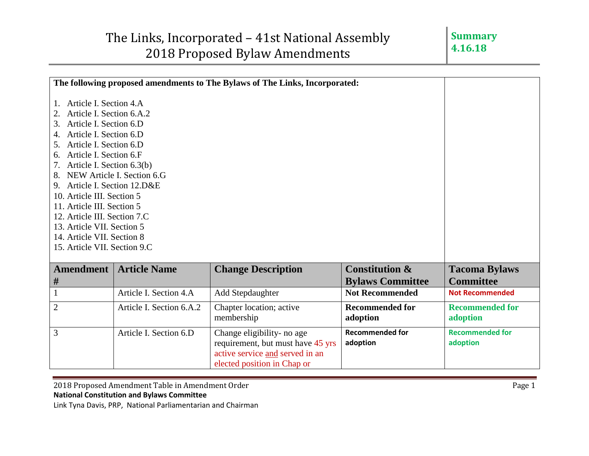| The following proposed amendments to The Bylaws of The Links, Incorporated:                                                                                                                                                                                                                                                                                                                                                                                                      |                          |                                                                                                                                   |                                                      |                                          |
|----------------------------------------------------------------------------------------------------------------------------------------------------------------------------------------------------------------------------------------------------------------------------------------------------------------------------------------------------------------------------------------------------------------------------------------------------------------------------------|--------------------------|-----------------------------------------------------------------------------------------------------------------------------------|------------------------------------------------------|------------------------------------------|
| Article I. Section 4.A<br>$1_{-}$<br>Article I. Section 6.A.2<br>3. Article I. Section 6.D<br>Article I. Section 6.D<br>4.<br>Article I. Section 6.D<br>5.<br>6. Article I. Section 6.F<br>7. Article I. Section 6.3(b)<br>8. NEW Article I. Section 6.G<br>9. Article I. Section 12.D&E<br>10. Article III. Section 5<br>11. Article III. Section 5<br>12. Article III. Section 7.C<br>13. Article VII. Section 5<br>14. Article VII. Section 8<br>15. Article VII. Section 9.C |                          |                                                                                                                                   |                                                      |                                          |
| <b>Amendment</b><br>#                                                                                                                                                                                                                                                                                                                                                                                                                                                            | <b>Article Name</b>      | <b>Change Description</b>                                                                                                         | <b>Constitution &amp;</b><br><b>Bylaws Committee</b> | <b>Tacoma Bylaws</b><br><b>Committee</b> |
| $\mathbf{1}$                                                                                                                                                                                                                                                                                                                                                                                                                                                                     | Article I. Section 4.A   | Add Stepdaughter                                                                                                                  | <b>Not Recommended</b>                               | <b>Not Recommended</b>                   |
| $\overline{2}$                                                                                                                                                                                                                                                                                                                                                                                                                                                                   | Article I. Section 6.A.2 | Chapter location; active<br>membership                                                                                            | <b>Recommended for</b><br>adoption                   | <b>Recommended for</b><br>adoption       |
| 3                                                                                                                                                                                                                                                                                                                                                                                                                                                                                | Article I. Section 6.D   | Change eligibility- no age<br>requirement, but must have 45 yrs<br>active service and served in an<br>elected position in Chap or | <b>Recommended for</b><br>adoption                   | <b>Recommended for</b><br>adoption       |

2018 Proposed Amendment Table in Amendment Order **Page 1** and the US of Page 1 **National Constitution and Bylaws Committee**

Link Tyna Davis, PRP, National Parliamentarian and Chairman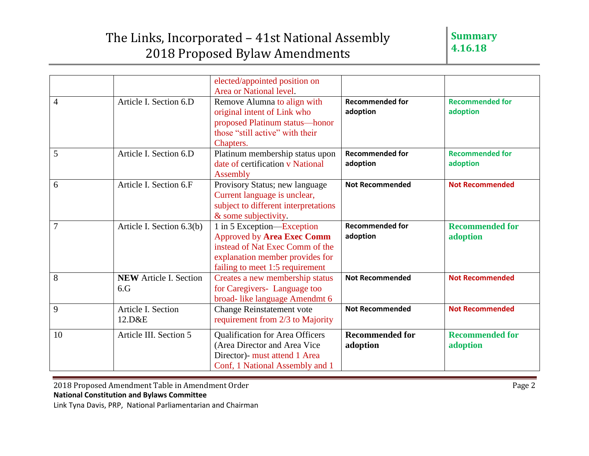## The Links, Incorporated – 41st National Assembly 2018 Proposed Bylaw Amendments

|                |                               | elected/appointed position on        |                        |                        |
|----------------|-------------------------------|--------------------------------------|------------------------|------------------------|
|                |                               | Area or National level.              |                        |                        |
| $\overline{4}$ | Article I. Section 6.D        | Remove Alumna to align with          | <b>Recommended for</b> | <b>Recommended for</b> |
|                |                               | original intent of Link who          | adoption               | adoption               |
|                |                               | proposed Platinum status-honor       |                        |                        |
|                |                               | those "still active" with their      |                        |                        |
|                |                               | Chapters.                            |                        |                        |
| 5              | Article I. Section 6.D        | Platinum membership status upon      | <b>Recommended for</b> | <b>Recommended for</b> |
|                |                               | date of certification v National     | adoption               | adoption               |
|                |                               | Assembly                             |                        |                        |
| 6              | Article I. Section 6.F        | Provisory Status; new language       | <b>Not Recommended</b> | <b>Not Recommended</b> |
|                |                               | Current language is unclear,         |                        |                        |
|                |                               | subject to different interpretations |                        |                        |
|                |                               | & some subjectivity.                 |                        |                        |
| $\overline{7}$ | Article I. Section 6.3(b)     | 1 in 5 Exception—Exception           | <b>Recommended for</b> | <b>Recommended for</b> |
|                |                               | <b>Approved by Area Exec Comm</b>    | adoption               | adoption               |
|                |                               | instead of Nat Exec Comm of the      |                        |                        |
|                |                               | explanation member provides for      |                        |                        |
|                |                               | failing to meet 1:5 requirement      |                        |                        |
| 8              | <b>NEW</b> Article I. Section | Creates a new membership status      | <b>Not Recommended</b> | <b>Not Recommended</b> |
|                | 6.G                           | for Caregivers-Language too          |                        |                        |
|                |                               | broad-like language Amendmt 6        |                        |                        |
| 9              | Article I. Section            | <b>Change Reinstatement vote</b>     | <b>Not Recommended</b> | <b>Not Recommended</b> |
|                | 12.D&E                        | requirement from 2/3 to Majority     |                        |                        |
| 10             | Article III. Section 5        | Qualification for Area Officers      | <b>Recommended for</b> | <b>Recommended for</b> |
|                |                               | (Area Director and Area Vice         | adoption               | adoption               |
|                |                               | Director)- must attend 1 Area        |                        |                        |
|                |                               | Conf, 1 National Assembly and 1      |                        |                        |
|                |                               |                                      |                        |                        |

2018 Proposed Amendment Table in Amendment Order **Page 2** Page 2 **National Constitution and Bylaws Committee**

Link Tyna Davis, PRP, National Parliamentarian and Chairman